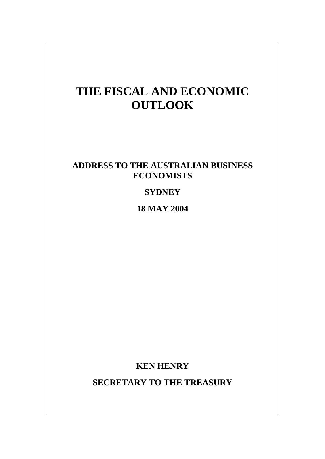# **THE FISCAL AND ECONOMIC OUTLOOK**

## **ADDRESS TO THE AUSTRALIAN BUSINESS ECONOMISTS**

## **SYDNEY**

**18 MAY 2004**

**KEN HENRY** 

**SECRETARY TO THE TREASURY**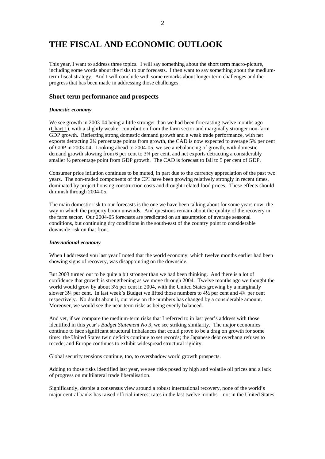## **THE FISCAL AND ECONOMIC OUTLOOK**

This year, I want to address three topics. I will say something about the short term macro-picture, including some words about the risks to our forecasts. I then want to say something about the mediumterm fiscal strategy. And I will conclude with some remarks about longer term challenges and the progress that has been made in addressing those challenges.

### **Short-term performance and prospects**

#### *Domestic economy*

We see growth in 2003-04 being a little stronger than we had been forecasting twelve months ago (Chart 1), with a slightly weaker contribution from the farm sector and marginally stronger non-farm GDP growth. Reflecting strong domestic demand growth and a weak trade performance, with net exports detracting 2¼ percentage points from growth, the CAD is now expected to average 5¾ per cent of GDP in 2003-04. Looking ahead to 2004-05, we see a rebalancing of growth, with domestic demand growth slowing from 6 per cent to 3¾ per cent, and net exports detracting a considerably smaller ½ percentage point from GDP growth. The CAD is forecast to fall to 5 per cent of GDP.

Consumer price inflation continues to be muted, in part due to the currency appreciation of the past two years. The non-traded components of the CPI have been growing relatively strongly in recent times, dominated by project housing construction costs and drought-related food prices. These effects should diminish through 2004-05.

The main domestic risk to our forecasts is the one we have been talking about for some years now: the way in which the property boom unwinds. And questions remain about the quality of the recovery in the farm sector. Our 2004-05 forecasts are predicated on an assumption of average seasonal conditions, but continuing dry conditions in the south-east of the country point to considerable downside risk on that front.

#### *International economy*

When I addressed you last year I noted that the world economy, which twelve months earlier had been showing signs of recovery, was disappointing on the downside.

But 2003 turned out to be quite a bit stronger than we had been thinking. And there is a lot of confidence that growth is strengthening as we move through 2004. Twelve months ago we thought the world would grow by about 3½ per cent in 2004, with the United States growing by a marginally slower 3¼ per cent. In last week's Budget we lifted those numbers to 4½ per cent and 4¾ per cent respectively. No doubt about it, our view on the numbers has changed by a considerable amount. Moreover, we would see the near-term risks as being evenly balanced.

And yet, if we compare the medium-term risks that I referred to in last year's address with those identified in this year's *Budget Statement No 3*, we see striking similarity. The major economies continue to face significant structural imbalances that could prove to be a drag on growth for some time: the United States twin deficits continue to set records; the Japanese debt overhang refuses to recede; and Europe continues to exhibit widespread structural rigidity.

Global security tensions continue, too, to overshadow world growth prospects.

Adding to those risks identified last year, we see risks posed by high and volatile oil prices and a lack of progress on multilateral trade liberalisation.

Significantly, despite a consensus view around a robust international recovery, none of the world's major central banks has raised official interest rates in the last twelve months – not in the United States,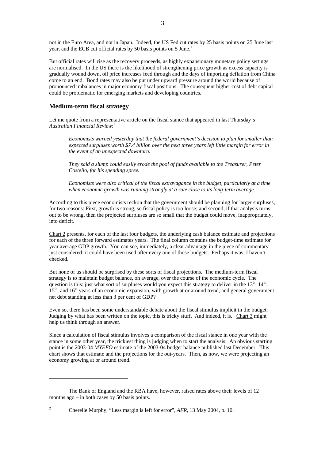not in the Euro Area, and not in Japan. Indeed, the US Fed cut rates by 25 basis points on 25 June last year, and the ECB cut official rates by 50 basis points on 5 June.<sup>[1](#page-2-0)</sup>

But official rates will rise as the recovery proceeds, as highly expansionary monetary policy settings are normalised. In the US there is the likelihood of strengthening price growth as excess capacity is gradually wound down, oil price increases feed through and the days of importing deflation from China come to an end. Bond rates may also be put under upward pressure around the world because of pronounced imbalances in major economy fiscal positions. The consequent higher cost of debt capital could be problematic for emerging markets and developing countries.

### **Medium-term fiscal strategy**

 $\overline{a}$ 

Let me quote from a representative article on the fiscal stance that appeared in last Thursday's *Australian Financial Review*: [2](#page-2-1)

*Economists warned yesterday that the federal government's decision to plan for smaller than expected surpluses worth \$7.4 billion over the next three years left little margin for error in the event of an unexpected downturn.* 

*They said a slump could easily erode the pool of funds available to the Treasurer, Peter Costello, for his spending spree.* 

*Economists were also critical of the fiscal extravagance in the budget, particularly at a time when economic growth was running strongly at a rate close to its long-term average.*

According to this piece economists reckon that the government should be planning for larger surpluses, for two reasons: First, growth is strong, so fiscal policy is too loose; and second, if that analysis turns out to be wrong, then the projected surpluses are so small that the budget could move, inappropriately, into deficit.

Chart 2 presents, for each of the last four budgets, the underlying cash balance estimate and projections for each of the three forward estimates years. The final column contains the budget-time estimate for year average GDP growth. You can see, immediately, a clear advantage in the piece of commentary just considered: it could have been used after every one of those budgets. Perhaps it was; I haven't checked.

But none of us should be surprised by these sorts of fiscal projections. The medium-term fiscal strategy is to maintain budget balance, on average, over the course of the economic cycle. The question is this: just what sort of surpluses would you expect this strategy to deliver in the  $13<sup>th</sup>$ ,  $14<sup>th</sup>$ ,  $15<sup>th</sup>$ , and  $16<sup>th</sup>$  years of an economic expansion, with growth at or around trend, and general government net debt standing at less than 3 per cent of GDP?

Even so, there has been some understandable debate about the fiscal stimulus implicit in the budget. Judging by what has been written on the topic, this is tricky stuff. And indeed, it is. Chart 3 might help us think through an answer.

Since a calculation of fiscal stimulus involves a comparison of the fiscal stance in one year with the stance in some other year, the trickiest thing is judging when to start the analysis. An obvious starting point is the 2003-04 *MYEFO* estimate of the 2003-04 budget balance published last December. This chart shows that estimate and the projections for the out-years. Then, as now, we were projecting an economy growing at or around trend.

<span id="page-2-0"></span><sup>1</sup> The Bank of England and the RBA have, however, raised rates above their levels of 12 months ago – in both cases by 50 basis points.

<span id="page-2-1"></span><sup>2</sup> Cherelle Murphy, "Less margin is left for error", *AFR*, 13 May 2004, p. 10.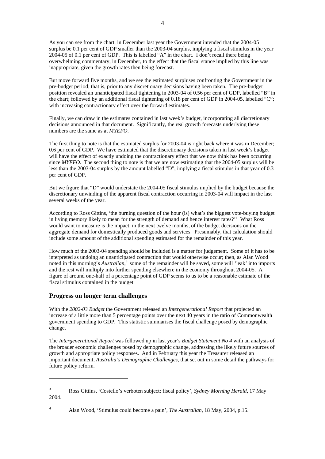As you can see from the chart, in December last year the Government intended that the 2004-05 surplus be 0.1 per cent of GDP smaller than the 2003-04 surplus, implying a fiscal stimulus in the year 2004-05 of 0.1 per cent of GDP. This is labelled "A" in the chart. I don't recall there being overwhelming commentary, in December, to the effect that the fiscal stance implied by this line was inappropriate, given the growth rates then being forecast.

But move forward five months, and we see the estimated surpluses confronting the Government in the pre-budget period; that is, prior to any discretionary decisions having been taken. The pre-budget position revealed an unanticipated fiscal tightening in 2003-04 of 0.56 per cent of GDP, labelled "B" in the chart; followed by an additional fiscal tightening of 0.18 per cent of GDP in 2004-05, labelled "C"; with increasing contractionary effect over the forward estimates.

Finally, we can draw in the estimates contained in last week's budget, incorporating all discretionary decisions announced in that document. Significantly, the real growth forecasts underlying these numbers are the same as at *MYEFO*.

The first thing to note is that the estimated surplus for 2003-04 is right back where it was in December; 0.6 per cent of GDP. We have estimated that the discretionary decisions taken in last week's budget will have the effect of exactly undoing the contractionary effect that we now think has been occurring since *MYEFO*. The second thing to note is that we are now estimating that the 2004-05 surplus will be less than the 2003-04 surplus by the amount labelled "D", implying a fiscal stimulus in that year of 0.3 per cent of GDP.

But we figure that "D" would understate the 2004-05 fiscal stimulus implied by the budget because the discretionary unwinding of the apparent fiscal contraction occurring in 2003-04 will impact in the last several weeks of the year.

According to Ross Gittins, 'the burning question of the hour (is) what's the biggest vote-buying budget in living memory likely to mean for the strength of demand and hence interest rates?<sup>[3](#page-3-0)</sup> What Ross would want to measure is the impact, in the next twelve months, of the budget decisions on the aggregate demand for domestically produced goods and services. Presumably, that calculation should include some amount of the additional spending estimated for the remainder of this year.

How much of the 2003-04 spending should be included is a matter for judgement. Some of it has to be interpreted as undoing an unanticipated contraction that would otherwise occur; then, as Alan Wood noted in this morning's *Australian*, [4](#page-3-1) some of the remainder will be saved, some will 'leak' into imports and the rest will multiply into further spending elsewhere in the economy throughout 2004-05. A figure of around one-half of a percentage point of GDP seems to us to be a reasonable estimate of the fiscal stimulus contained in the budget.

### **Progress on longer term challenges**

 $\overline{a}$ 

With the *2002-03 Budget* the Government released an *Intergenerational Report* that projected an increase of a little more than 5 percentage points over the next 40 years in the ratio of Commonwealth government spending to GDP. This statistic summarises the fiscal challenge posed by demographic change.

The *Intergenerational Report* was followed up in last year's *Budget Statement No 4* with an analysis of the broader economic challenges posed by demographic change, addressing the likely future sources of growth and appropriate policy responses. And in February this year the Treasurer released an important document, *Australia's Demographic Challenges*, that set out in some detail the pathways for future policy reform.

<span id="page-3-0"></span><sup>3</sup> Ross Gittins, 'Costello's verboten subject: fiscal policy', *Sydney Morning Herald*, 17 May 2004.

<span id="page-3-1"></span><sup>4</sup> Alan Wood, 'Stimulus could become a pain', *The Australian*, 18 May, 2004, p.15.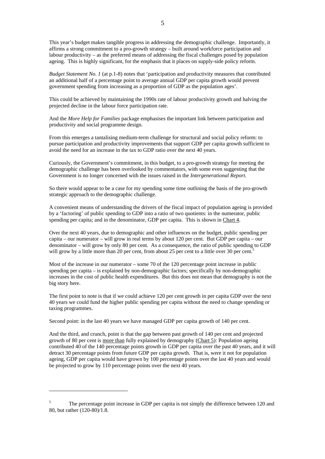This year's budget makes tangible progress in addressing the demographic challenge. Importantly, it affirms a strong commitment to a pro-growth strategy – built around workforce participation and labour productivity – as the preferred means of addressing the fiscal challenges posed by population ageing. This is highly significant, for the emphasis that it places on supply-side policy reform.

*Budget Statement No. 1* (at p.1-8) notes that 'participation and productivity measures that contributed an additional half of a percentage point to average annual GDP per capita growth would prevent government spending from increasing as a proportion of GDP as the population ages'.

This could be achieved by maintaining the 1990s rate of labour productivity growth and halving the projected decline in the labour force participation rate.

And the *More Help for Families* package emphasises the important link between participation and productivity and social programme design.

From this emerges a tantalising medium-term challenge for structural and social policy reform: to pursue participation and productivity improvements that support GDP per capita growth sufficient to avoid the need for an increase in the tax to GDP ratio over the next 40 years.

Curiously, the Government's commitment, in this budget, to a pro-growth strategy for meeting the demographic challenge has been overlooked by commentators, with some even suggesting that the Government is no longer concerned with the issues raised in the *Intergenerational Report*.

So there would appear to be a case for my spending some time outlining the basis of the pro-growth strategic approach to the demographic challenge.

A convenient means of understanding the drivers of the fiscal impact of population ageing is provided by a 'factoring' of public spending to GDP into a ratio of two quotients: in the numerator, public spending per capita; and in the denominator, GDP per capita. This is shown in Chart 4.

Over the next 40 years, due to demographic and other influences on the budget, public spending per capita – our numerator – will grow in real terms by about 120 per cent. But GDP per capita – our denominator – will grow by only 80 per cent. As a consequence, the ratio of public spending to GDP will grow by a little more than 20 per cent, from about 2[5](#page-4-0) per cent to a little over 30 per cent.<sup>5</sup>

Most of the increase in our numerator – some 70 of the 120 percentage point increase in public spending per capita – is explained by non-demographic factors; specifically by non-demographic increases in the cost of public health expenditures. But this does not mean that demography is not the big story here.

The first point to note is that if we could achieve 120 per cent growth in per capita GDP over the next 40 years we could fund the higher public spending per capita without the need to change spending or taxing programmes.

Second point: in the last 40 years we have managed GDP per capita growth of 140 per cent.

 $\overline{a}$ 

And the third, and crunch, point is that the gap between past growth of 140 per cent and projected growth of 80 per cent is more than fully explained by demography (Chart 5): Population ageing contributed 40 of the 140 percentage points growth in GDP per capita over the past 40 years, and it will detract 30 percentage points from future GDP per capita growth. That is, were it not for population ageing, GDP per capita would have grown by 100 percentage points over the last 40 years and would be projected to grow by 110 percentage points over the next 40 years.

<span id="page-4-0"></span><sup>5</sup> The percentage point increase in GDP per capita is not simply the difference between 120 and 80, but rather (120-80)/1.8.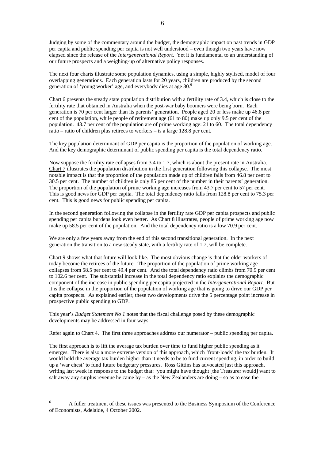Judging by some of the commentary around the budget, the demographic impact on past trends in GDP per capita and public spending per capita is not well understood – even though two years have now elapsed since the release of the *Intergenerational Report*. Yet it is fundamental to an understanding of our future prospects and a weighing-up of alternative policy responses.

The next four charts illustrate some population dynamics, using a simple, highly stylised, model of four overlapping generations. Each generation lasts for 20 years, children are produced by the second generation of 'young worker' age, and everybody dies at age 80.[6](#page-5-0)

Chart 6 presents the steady state population distribution with a fertility rate of 3.4, which is close to the fertility rate that obtained in Australia when the post-war baby boomers were being born. Each generation is 70 per cent larger than its parents' generation. People aged 20 or less make up 46.8 per cent of the population, while people of retirement age (61 to 80) make up only 9.5 per cent of the population. 43.7 per cent of the population are of prime working age: 21 to 60. The total dependency ratio – ratio of children plus retirees to workers – is a large 128.8 per cent.

The key population determinant of GDP per capita is the proportion of the population of working age. And the key demographic determinant of public spending per capita is the total dependency ratio.

Now suppose the fertility rate collapses from 3.4 to 1.7, which is about the present rate in Australia. Chart 7 illustrates the population distribution in the first generation following this collapse. The most notable impact is that the proportion of the population made up of children falls from 46.8 per cent to 30.5 per cent. The number of children is only 85 per cent of the number in their parents' generation. The proportion of the population of prime working age increases from 43.7 per cent to 57 per cent. This is good news for GDP per capita. The total dependency ratio falls from 128.8 per cent to 75.3 per cent. This is good news for public spending per capita.

In the second generation following the collapse in the fertility rate GDP per capita prospects and public spending per capita burdens look even better. As Chart 8 illustrates, people of prime working age now make up 58.5 per cent of the population. And the total dependency ratio is a low 70.9 per cent.

We are only a few years away from the end of this second transitional generation. In the next generation the transition to a new steady state, with a fertility rate of 1.7, will be complete.

Chart 9 shows what that future will look like. The most obvious change is that the older workers of today become the retirees of the future. The proportion of the population of prime working age collapses from 58.5 per cent to 49.4 per cent. And the total dependency ratio climbs from 70.9 per cent to 102.6 per cent. The substantial increase in the total dependency ratio explains the demographic component of the increase in public spending per capita projected in the *Intergenerational Report*. But it is the collapse in the proportion of the population of working age that is going to drive our GDP per capita prospects. As explained earlier, these two developments drive the 5 percentage point increase in prospective public spending to GDP.

This year's *Budget Statement No 1* notes that the fiscal challenge posed by these demographic developments may be addressed in four ways.

Refer again to Chart 4. The first three approaches address our numerator – public spending per capita.

The first approach is to lift the average tax burden over time to fund higher public spending as it emerges. There is also a more extreme version of this approach, which 'front-loads' the tax burden. It would hold the average tax burden higher than it needs to be to fund current spending, in order to build up a 'war chest' to fund future budgetary pressures. Ross Gittins has advocated just this approach, writing last week in response to the budget that: 'you might have thought [the Treasurer would] want to salt away any surplus revenue he came by – as the New Zealanders are doing – so as to ease the

 $\overline{a}$ 

<span id="page-5-0"></span><sup>6</sup> A fuller treatment of these issues was presented to the Business Symposium of the Conference of Economists, Adelaide, 4 October 2002.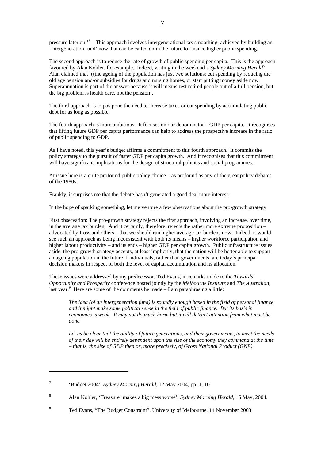pressure later on.<sup>[7](#page-6-0)</sup> This approach involves intergenerational tax smoothing, achieved by building an 'intergeneration fund' now that can be called on in the future to finance higher public spending.

The second approach is to reduce the rate of growth of public spending per capita. This is the approach favoured by Alan Kohler, for example. Indeed, writing in the weekend's *Sydney Morning Herald*[8](#page-6-1) Alan claimed that '(t)he ageing of the population has just two solutions: cut spending by reducing the old age pension and/or subsidies for drugs and nursing homes, or start putting money aside now. Superannuation is part of the answer because it will means-test retired people out of a full pension, but the big problem is health care, not the pension'.

The third approach is to postpone the need to increase taxes or cut spending by accumulating public debt for as long as possible.

The fourth approach is more ambitious. It focuses on our denominator – GDP per capita. It recognises that lifting future GDP per capita performance can help to address the prospective increase in the ratio of public spending to GDP.

As I have noted, this year's budget affirms a commitment to this fourth approach. It commits the policy strategy to the pursuit of faster GDP per capita growth. And it recognises that this commitment will have significant implications for the design of structural policies and social programmes.

At issue here is a quite profound public policy choice – as profound as any of the great policy debates of the 1980s.

Frankly, it surprises me that the debate hasn't generated a good deal more interest.

In the hope of sparking something, let me venture a few observations about the pro-growth strategy.

First observation: The pro-growth strategy rejects the first approach, involving an increase, over time, in the average tax burden. And it certainly, therefore, rejects the rather more extreme proposition – advocated by Ross and others – that we should run higher average tax burdens now. Indeed, it would see such an approach as being inconsistent with both its means – higher workforce participation and higher labour productivity – and its ends – higher GDP per capita growth. Public infrastructure issues aside, the pro-growth strategy accepts, at least implicitly, that the nation will be better able to support an ageing population in the future if individuals, rather than governments, are today's principal decision makers in respect of both the level of capital accumulation and its allocation.

These issues were addressed by my predecessor, Ted Evans, in remarks made to the *Towards Opportunity and Prosperity* conference hosted jointly by the *Melbourne Institute* and *The Australian*, last year.<sup>9</sup> Here are some of the comments he made  $-I$  am paraphrasing a little:

*The idea (of an intergeneration fund) is soundly enough based in the field of personal finance and it might make some political sense in the field of public finance. But its basis in economics is weak. It may not do much harm but it will detract attention from what must be done.* 

*Let us be clear that the ability of future generations, and their governments, to meet the needs of their day will be entirely dependent upon the size of the economy they command at the time – that is, the size of GDP then or, more precisely, of Gross National Product (GNP).* 

 $\overline{a}$ 

<span id="page-6-0"></span><sup>7</sup> 'Budget 2004', *Sydney Morning Herald*, 12 May 2004, pp. 1, 10.

<span id="page-6-1"></span><sup>8</sup> Alan Kohler, 'Treasurer makes a big mess worse', *Sydney Morning Herald*, 15 May, 2004.

<span id="page-6-2"></span><sup>9</sup> Ted Evans, "The Budget Constraint", University of Melbourne, 14 November 2003.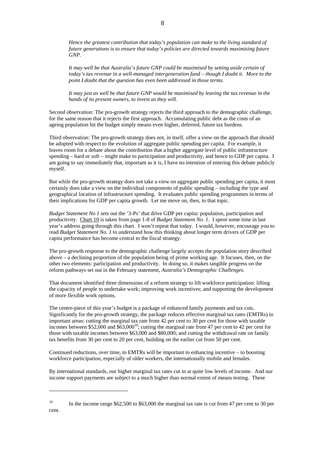*Hence the greatest contribution that today's population can make to the living standard of future generations is to ensure that today's policies are directed towards maximising future GNP.* 

*It may well be that Australia's future GNP could be maximised by setting aside certain of today's tax revenue in a well-managed intergeneration fund – though I doubt it. More to the point I doubt that the question has even been addressed in those terms.* 

*It may just as well be that future GNP would be maximised by leaving the tax revenue in the hands of its present owners, to invest as they will.*

Second observation: The pro-growth strategy rejects the third approach to the demographic challenge, for the same reason that it rejects the first approach. Accumulating public debt as the costs of an ageing population hit the budget simply means even higher, deferred, future tax burdens.

Third observation: The pro-growth strategy does not, in itself, offer a view on the approach that should be adopted with respect to the evolution of aggregate public spending per capita. For example, it leaves room for a debate about the contribution that a higher aggregate level of public infrastructure spending – hard or soft – might make to participation and productivity, and hence to GDP per capita. I am going to say immediately that, important as it is, I have no intention of entering this debate publicly myself.

But while the pro-growth strategy does not take a view on aggregate public spending per capita, it most certainly does take a view on the individual components of public spending – including the type and geographical location of infrastructure spending. It evaluates public spending programmes in terms of their implications for GDP per capita growth. Let me move on, then, to that topic.

*Budget Statement No 1* sets out the '3-Ps' that drive GDP per capita: population, participation and productivity. Chart 10 is taken from page 1-8 of *Budget Statement No. 1*. I spent some time in last year's address going through this chart. I won't repeat that today. I would, however, encourage you to read *Budget Statement No. 1* to understand how this thinking about longer term drivers of GDP per capita performance has become central to the fiscal strategy.

The pro-growth response to the demographic challenge largely accepts the population story described above – a declining proportion of the population being of prime working age. It focuses, then, on the other two elements: participation and productivity. In doing so, it makes tangible progress on the reform pathways set out in the February statement, *Australia's Demographic Challenges*.

That document identified three dimensions of a reform strategy to lift workforce participation: lifting the capacity of people to undertake work; improving work incentives; and supporting the development of more flexible work options.

The centre-piece of this year's budget is a package of enhanced family payments and tax cuts. Significantly for the pro-growth strategy, the package reduces effective marginal tax rates (EMTRs) in important areas: cutting the marginal tax rate from 42 per cent to 30 per cent for those with taxable incomes between \$52,000 and  $$63,000^{10}$ ; cutting the marginal rate from 47 per cent to 42 per cent for those with taxable incomes between \$63,000 and \$80,000; and cutting the withdrawal rate on family tax benefits from 30 per cent to 20 per cent, building on the earlier cut from 50 per cent.

Continued reductions, over time, in EMTRs will be important to enhancing incentive – to boosting workforce participation, especially of older workers, the internationally mobile and females.

 $\overline{a}$ 

By international standards, our higher marginal tax rates cut in at quite low levels of income. And our income support payments are subject to a much higher than normal extent of means testing. These

<span id="page-7-0"></span><sup>&</sup>lt;sup>10</sup> In the income range  $$62,500$  to  $$63,000$  the marginal tax rate is cut from 47 per cent to 30 per cent.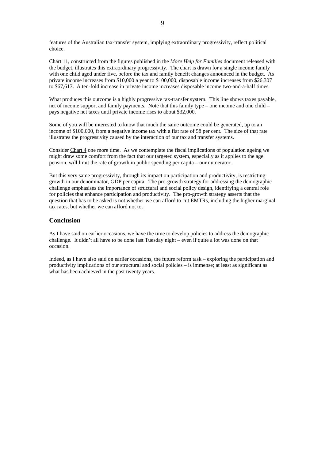features of the Australian tax-transfer system, implying extraordinary progressivity, reflect political choice.

Chart 11, constructed from the figures published in the *More Help for Families* document released with the budget, illustrates this extraordinary progressivity. The chart is drawn for a single income family with one child aged under five, before the tax and family benefit changes announced in the budget. As private income increases from \$10,000 a year to \$100,000, disposable income increases from \$26,307 to \$67,613. A ten-fold increase in private income increases disposable income two-and-a-half times.

What produces this outcome is a highly progressive tax-transfer system. This line shows taxes payable, net of income support and family payments. Note that this family type – one income and one child – pays negative net taxes until private income rises to about \$32,000.

Some of you will be interested to know that much the same outcome could be generated, up to an income of \$100,000, from a negative income tax with a flat rate of 58 per cent. The size of that rate illustrates the progressivity caused by the interaction of our tax and transfer systems.

Consider Chart 4 one more time. As we contemplate the fiscal implications of population ageing we might draw some comfort from the fact that our targeted system, especially as it applies to the age pension, will limit the rate of growth in public spending per capita – our numerator.

But this very same progressivity, through its impact on participation and productivity, is restricting growth in our denominator, GDP per capita. The pro-growth strategy for addressing the demographic challenge emphasises the importance of structural and social policy design, identifying a central role for policies that enhance participation and productivity. The pro-growth strategy asserts that the question that has to be asked is not whether we can afford to cut EMTRs, including the higher marginal tax rates, but whether we can afford not to.

### **Conclusion**

As I have said on earlier occasions, we have the time to develop policies to address the demographic challenge. It didn't all have to be done last Tuesday night – even if quite a lot was done on that occasion.

Indeed, as I have also said on earlier occasions, the future reform task – exploring the participation and productivity implications of our structural and social policies – is immense; at least as significant as what has been achieved in the past twenty years.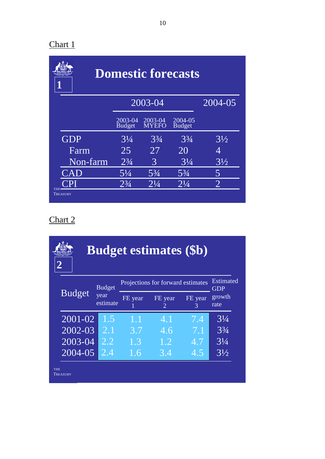| <b>Domestic forecasts</b> |                          |                  |                          |                |  |  |  |
|---------------------------|--------------------------|------------------|--------------------------|----------------|--|--|--|
|                           |                          | 2003-04          | 2004-05                  |                |  |  |  |
|                           | 2003-04<br><b>Budget</b> | 2003-04<br>MYEFO | 2004-05<br><b>Budget</b> |                |  |  |  |
| <b>GDP</b>                | $3\frac{1}{4}$           | $3\frac{3}{4}$   | $3\frac{3}{4}$           | $3\frac{1}{2}$ |  |  |  |
| Farm                      | 25                       | 27               | 20                       | 4              |  |  |  |
| Non-farm                  | $2^{3}/_{4}$             | 3                | $3\frac{1}{4}$           | $3\frac{1}{2}$ |  |  |  |
| $\mathbb{C}\mathrm{AD}$   | $5\frac{1}{4}$           | $5\frac{3}{4}$   | $5\frac{3}{4}$           | 5              |  |  |  |
| <b>THE</b>                | $2^{3}/_{4}$             | $2^{1}/4$        | $2^{1}/4$                | $\overline{2}$ |  |  |  |
| TREASURY                  |                          |                  |                          |                |  |  |  |

|            | <b>Budget estimates (\$b)</b> |                  |                                   |                         |              |                |  |  |  |
|------------|-------------------------------|------------------|-----------------------------------|-------------------------|--------------|----------------|--|--|--|
|            | <b>Budget</b>                 | <b>Budget</b>    | Projections for forward estimates | <b>Estimated</b><br>GDP |              |                |  |  |  |
|            |                               | year<br>estimate | FE year                           | FE year<br>2            | FE year<br>3 | growth<br>rate |  |  |  |
|            | 2001-02                       | 1.5              | 1.1                               | 4.1                     | 7.4          | $3\frac{1}{4}$ |  |  |  |
|            | 2002-03                       | 2.1              | 3.7                               | 4.6                     | 7.1          | $3\frac{3}{4}$ |  |  |  |
|            | 2003-04                       | 2.2              | 1.3                               | 1.2                     | 4.7          | $3\frac{1}{4}$ |  |  |  |
|            | 2004-05                       | 2.4              | 1.6                               | 3.4                     | 4.5          | $3\frac{1}{2}$ |  |  |  |
| <b>THE</b> | TREASURY                      |                  |                                   |                         |              |                |  |  |  |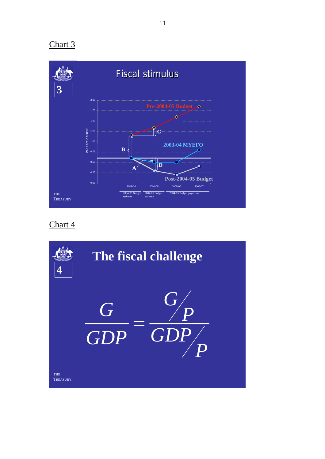

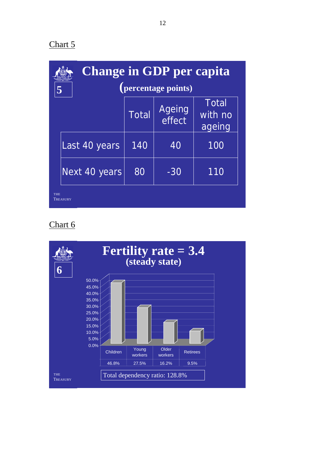|            | <b>Change in GDP per capita</b> |              |                  |                                   |  |  |  |  |  |  |
|------------|---------------------------------|--------------|------------------|-----------------------------------|--|--|--|--|--|--|
|            | (percentage points)<br>5        |              |                  |                                   |  |  |  |  |  |  |
|            |                                 | <b>Total</b> | Ageing<br>effect | <b>Total</b><br>with no<br>ageing |  |  |  |  |  |  |
|            | Last 40 years                   | 140          | 40               | 100                               |  |  |  |  |  |  |
|            | Next 40 years                   | 80           | $-30$            | 110                               |  |  |  |  |  |  |
| <b>THE</b> | TREASURY                        |              |                  |                                   |  |  |  |  |  |  |

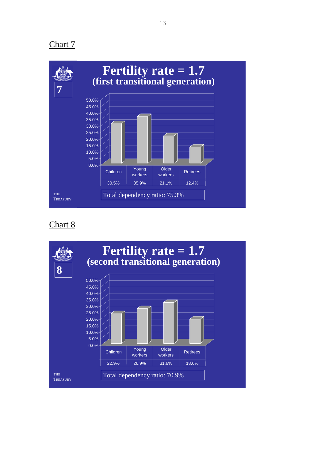

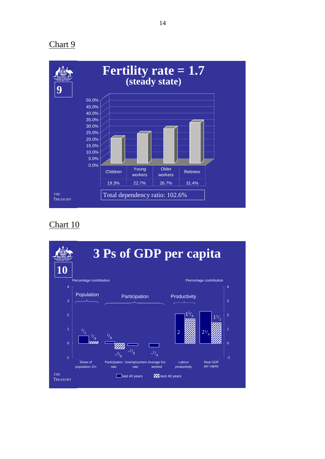